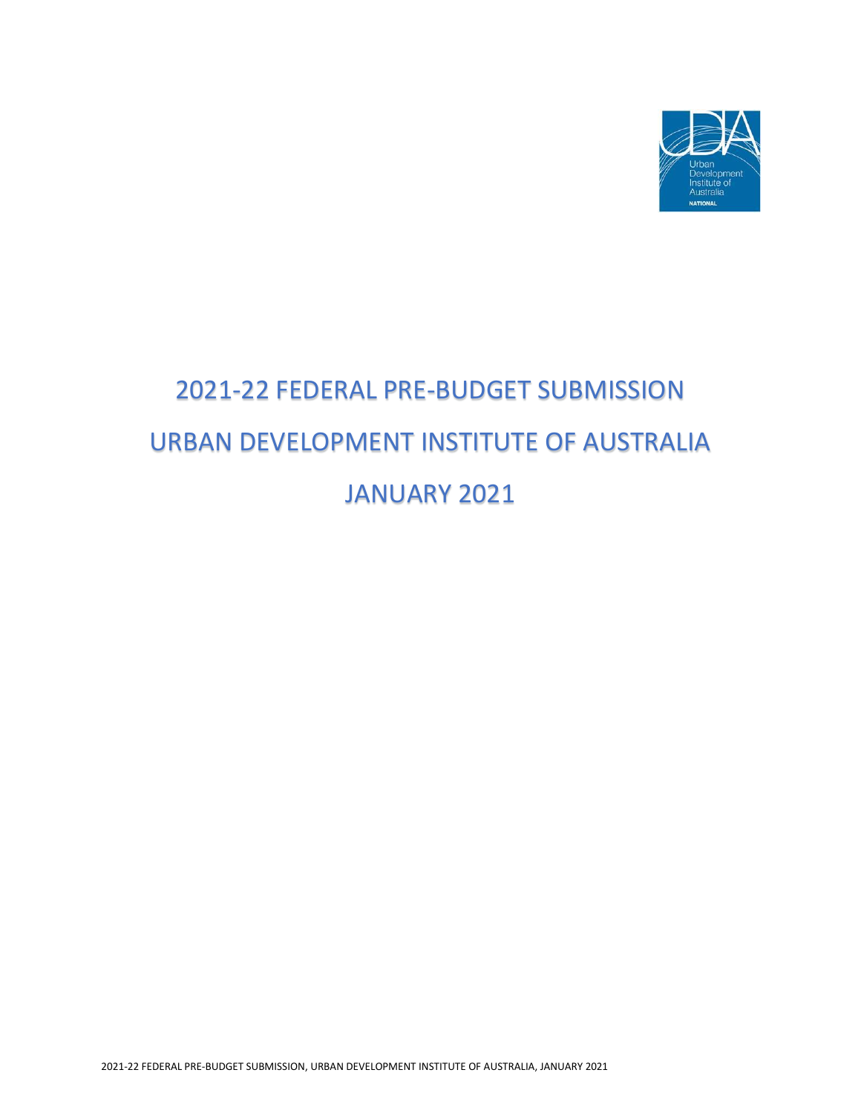

# 2021-22 FEDERAL PRE-BUDGET SUBMISSION URBAN DEVELOPMENT INSTITUTE OF AUSTRALIA JANUARY 2021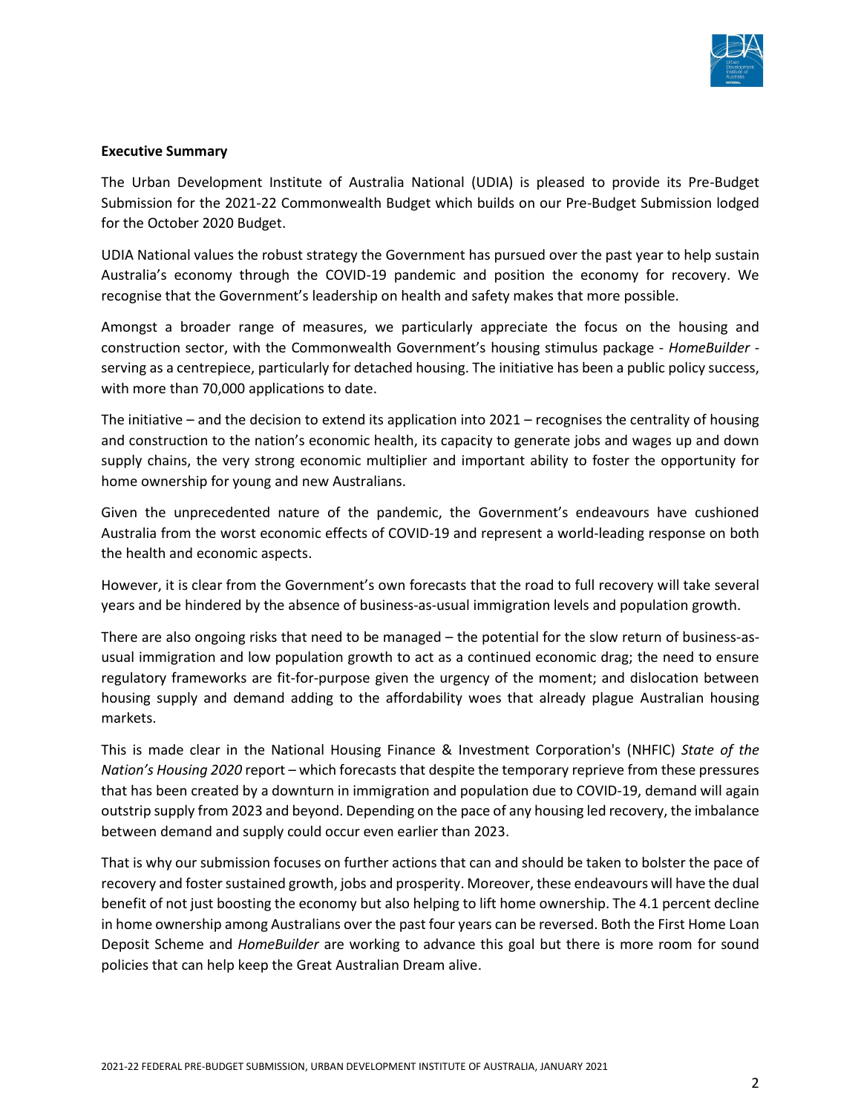

#### **Executive Summary**

The Urban Development Institute of Australia National (UDIA) is pleased to provide its Pre-Budget Submission for the 2021-22 Commonwealth Budget which builds on our Pre-Budget Submission lodged for the October 2020 Budget.

UDIA National values the robust strategy the Government has pursued over the past year to help sustain Australia's economy through the COVID-19 pandemic and position the economy for recovery. We recognise that the Government's leadership on health and safety makes that more possible.

Amongst a broader range of measures, we particularly appreciate the focus on the housing and construction sector, with the Commonwealth Government's housing stimulus package - *HomeBuilder* serving as a centrepiece, particularly for detached housing. The initiative has been a public policy success, with more than 70,000 applications to date.

The initiative – and the decision to extend its application into 2021 – recognises the centrality of housing and construction to the nation's economic health, its capacity to generate jobs and wages up and down supply chains, the very strong economic multiplier and important ability to foster the opportunity for home ownership for young and new Australians.

Given the unprecedented nature of the pandemic, the Government's endeavours have cushioned Australia from the worst economic effects of COVID-19 and represent a world-leading response on both the health and economic aspects.

However, it is clear from the Government's own forecasts that the road to full recovery will take several years and be hindered by the absence of business-as-usual immigration levels and population growth.

There are also ongoing risks that need to be managed – the potential for the slow return of business-asusual immigration and low population growth to act as a continued economic drag; the need to ensure regulatory frameworks are fit-for-purpose given the urgency of the moment; and dislocation between housing supply and demand adding to the affordability woes that already plague Australian housing markets.

This is made clear in the National Housing Finance & Investment Corporation's (NHFIC) *State of the Nation's Housing 2020* report – which forecasts that despite the temporary reprieve from these pressures that has been created by a downturn in immigration and population due to COVID-19, demand will again outstrip supply from 2023 and beyond. Depending on the pace of any housing led recovery, the imbalance between demand and supply could occur even earlier than 2023.

That is why our submission focuses on further actions that can and should be taken to bolster the pace of recovery and foster sustained growth, jobs and prosperity. Moreover, these endeavours will have the dual benefit of not just boosting the economy but also helping to lift home ownership. The 4.1 percent decline in home ownership among Australians over the past four years can be reversed. Both the First Home Loan Deposit Scheme and *HomeBuilder* are working to advance this goal but there is more room for sound policies that can help keep the Great Australian Dream alive.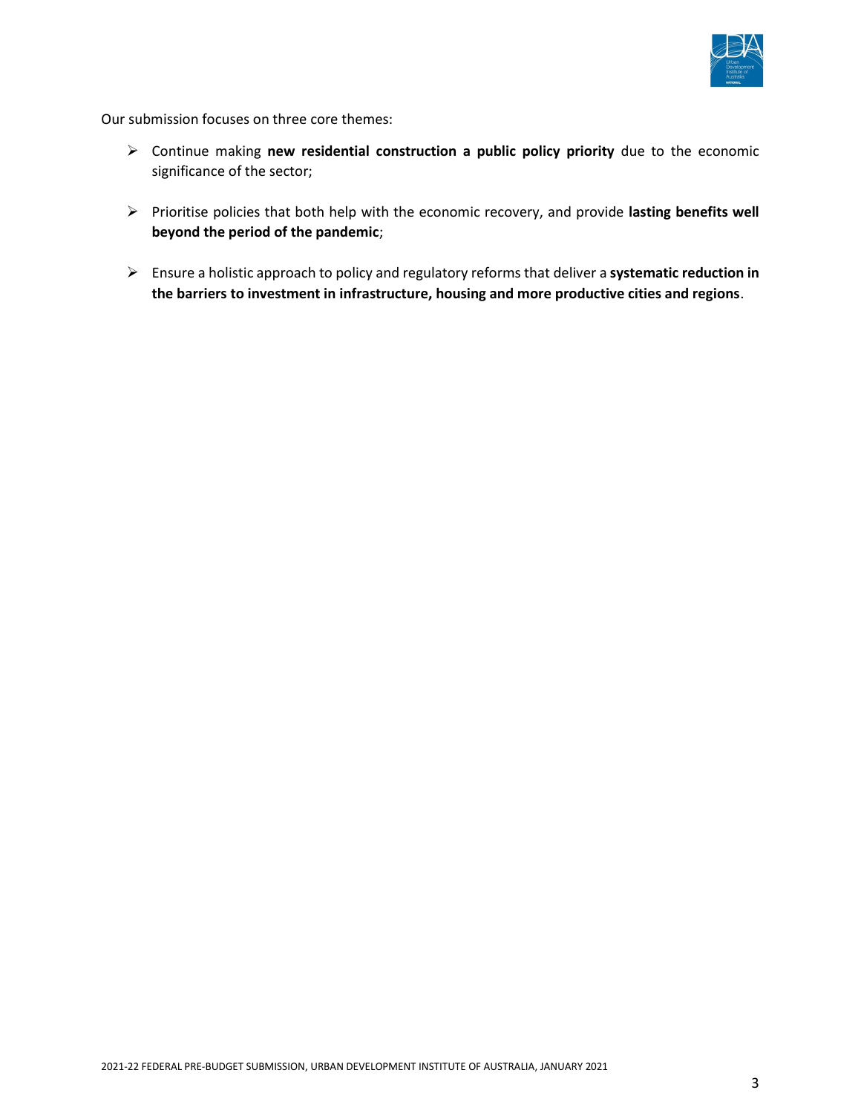

Our submission focuses on three core themes:

- ➢ Continue making **new residential construction a public policy priority** due to the economic significance of the sector;
- ➢ Prioritise policies that both help with the economic recovery, and provide **lasting benefits well beyond the period of the pandemic**;
- ➢ Ensure a holistic approach to policy and regulatory reforms that deliver a **systematic reduction in the barriers to investment in infrastructure, housing and more productive cities and regions**.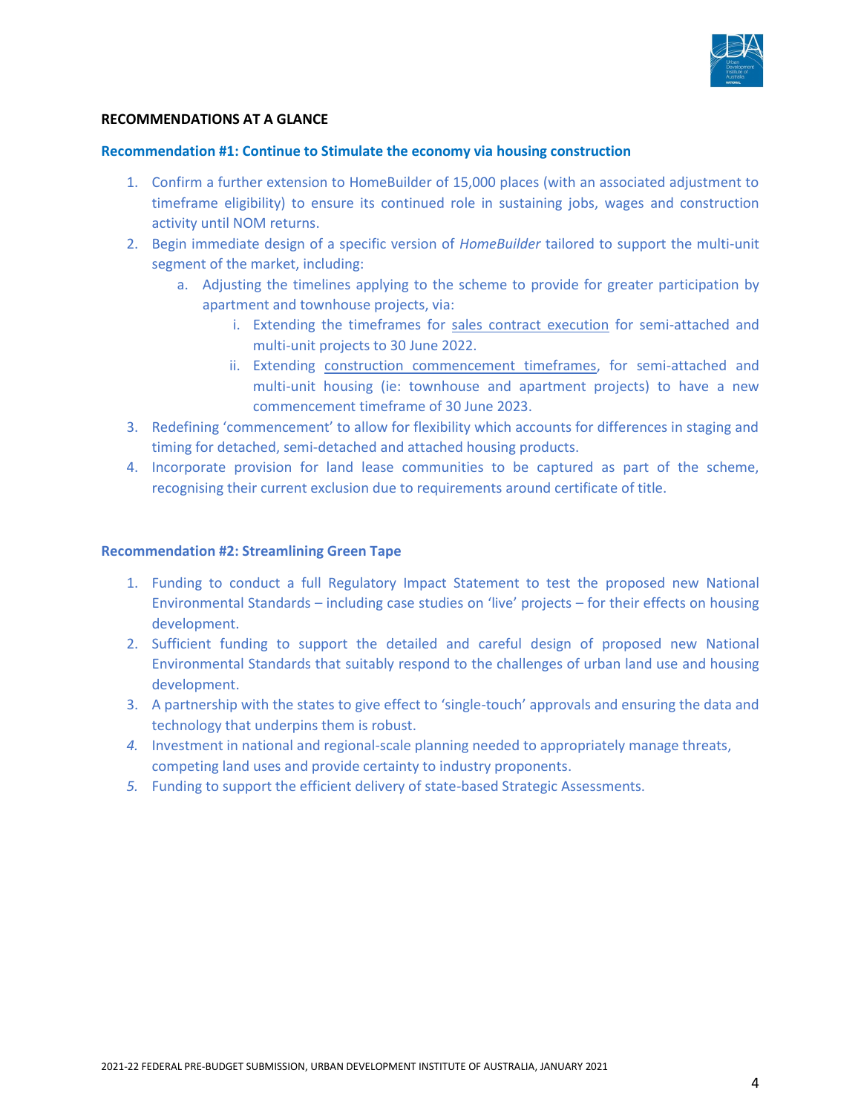

#### **RECOMMENDATIONS AT A GLANCE**

#### **Recommendation #1: Continue to Stimulate the economy via housing construction**

- 1. Confirm a further extension to HomeBuilder of 15,000 places (with an associated adjustment to timeframe eligibility) to ensure its continued role in sustaining jobs, wages and construction activity until NOM returns.
- 2. Begin immediate design of a specific version of *HomeBuilder* tailored to support the multi-unit segment of the market, including:
	- a. Adjusting the timelines applying to the scheme to provide for greater participation by apartment and townhouse projects, via:
		- i. Extending the timeframes for sales contract execution for semi-attached and multi-unit projects to 30 June 2022.
		- ii. Extending construction commencement timeframes, for semi-attached and multi-unit housing (ie: townhouse and apartment projects) to have a new commencement timeframe of 30 June 2023.
- 3. Redefining 'commencement' to allow for flexibility which accounts for differences in staging and timing for detached, semi-detached and attached housing products.
- 4. Incorporate provision for land lease communities to be captured as part of the scheme, recognising their current exclusion due to requirements around certificate of title.

#### **Recommendation #2: Streamlining Green Tape**

- 1. Funding to conduct a full Regulatory Impact Statement to test the proposed new National Environmental Standards – including case studies on 'live' projects – for their effects on housing development.
- 2. Sufficient funding to support the detailed and careful design of proposed new National Environmental Standards that suitably respond to the challenges of urban land use and housing development.
- 3. A partnership with the states to give effect to 'single-touch' approvals and ensuring the data and technology that underpins them is robust.
- *4.* Investment in national and regional-scale planning needed to appropriately manage threats, competing land uses and provide certainty to industry proponents.
- *5.* Funding to support the efficient delivery of state-based Strategic Assessments.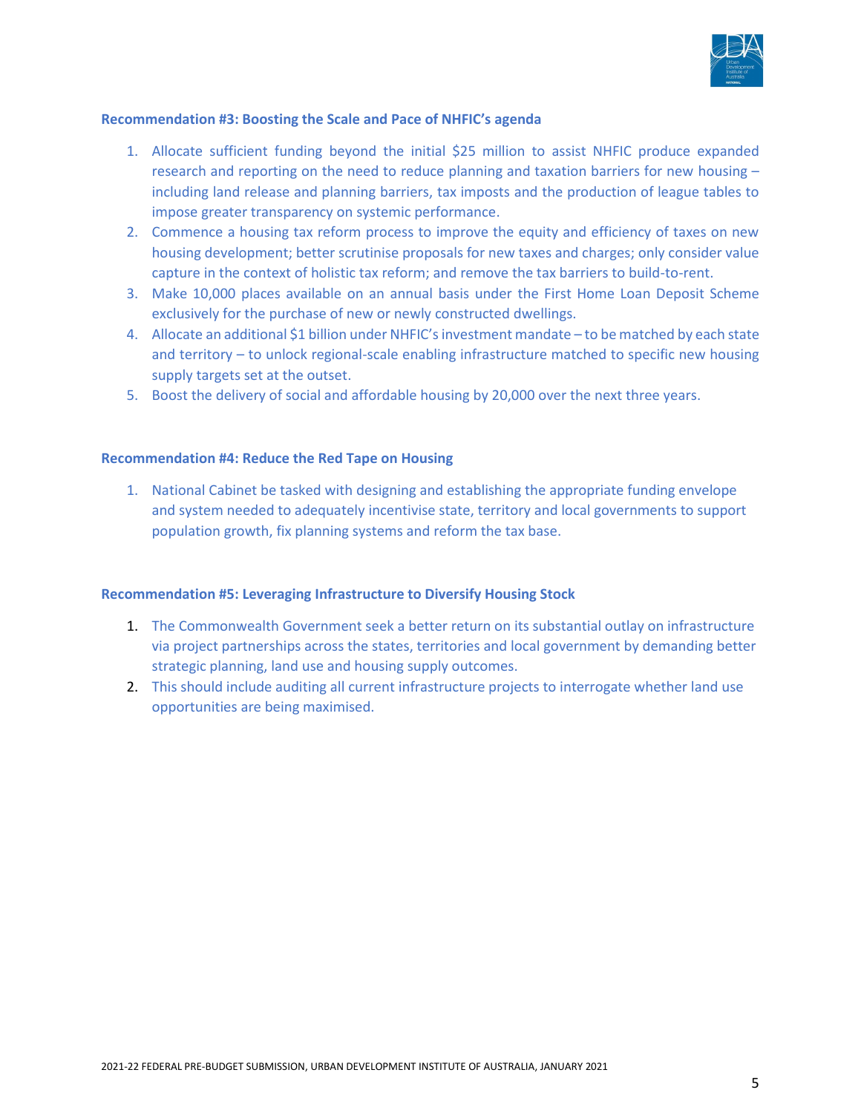

#### **Recommendation #3: Boosting the Scale and Pace of NHFIC's agenda**

- 1. Allocate sufficient funding beyond the initial \$25 million to assist NHFIC produce expanded research and reporting on the need to reduce planning and taxation barriers for new housing – including land release and planning barriers, tax imposts and the production of league tables to impose greater transparency on systemic performance.
- 2. Commence a housing tax reform process to improve the equity and efficiency of taxes on new housing development; better scrutinise proposals for new taxes and charges; only consider value capture in the context of holistic tax reform; and remove the tax barriers to build-to-rent.
- 3. Make 10,000 places available on an annual basis under the First Home Loan Deposit Scheme exclusively for the purchase of new or newly constructed dwellings.
- 4. Allocate an additional \$1 billion under NHFIC's investment mandate to be matched by each state and territory – to unlock regional-scale enabling infrastructure matched to specific new housing supply targets set at the outset.
- 5. Boost the delivery of social and affordable housing by 20,000 over the next three years.

#### **Recommendation #4: Reduce the Red Tape on Housing**

1. National Cabinet be tasked with designing and establishing the appropriate funding envelope and system needed to adequately incentivise state, territory and local governments to support population growth, fix planning systems and reform the tax base.

#### **Recommendation #5: Leveraging Infrastructure to Diversify Housing Stock**

- 1. The Commonwealth Government seek a better return on its substantial outlay on infrastructure via project partnerships across the states, territories and local government by demanding better strategic planning, land use and housing supply outcomes.
- 2. This should include auditing all current infrastructure projects to interrogate whether land use opportunities are being maximised.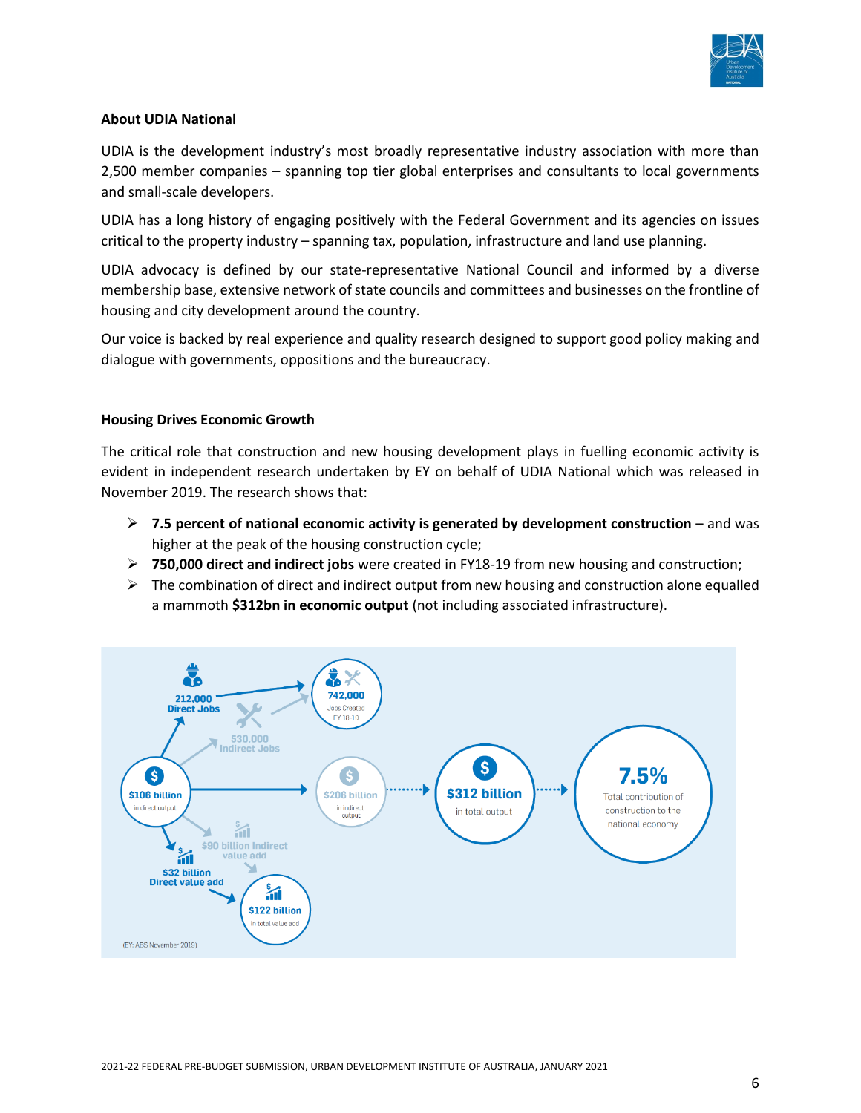

# **About UDIA National**

UDIA is the development industry's most broadly representative industry association with more than 2,500 member companies – spanning top tier global enterprises and consultants to local governments and small-scale developers.

UDIA has a long history of engaging positively with the Federal Government and its agencies on issues critical to the property industry – spanning tax, population, infrastructure and land use planning.

UDIA advocacy is defined by our state-representative National Council and informed by a diverse membership base, extensive network of state councils and committees and businesses on the frontline of housing and city development around the country.

Our voice is backed by real experience and quality research designed to support good policy making and dialogue with governments, oppositions and the bureaucracy.

# **Housing Drives Economic Growth**

The critical role that construction and new housing development plays in fuelling economic activity is evident in independent research undertaken by EY on behalf of UDIA National which was released in November 2019. The research shows that:

- ➢ **7.5 percent of national economic activity is generated by development construction** and was higher at the peak of the housing construction cycle;
- ➢ **750,000 direct and indirect jobs** were created in FY18-19 from new housing and construction;
- $\triangleright$  The combination of direct and indirect output from new housing and construction alone equalled a mammoth **\$312bn in economic output** (not including associated infrastructure).

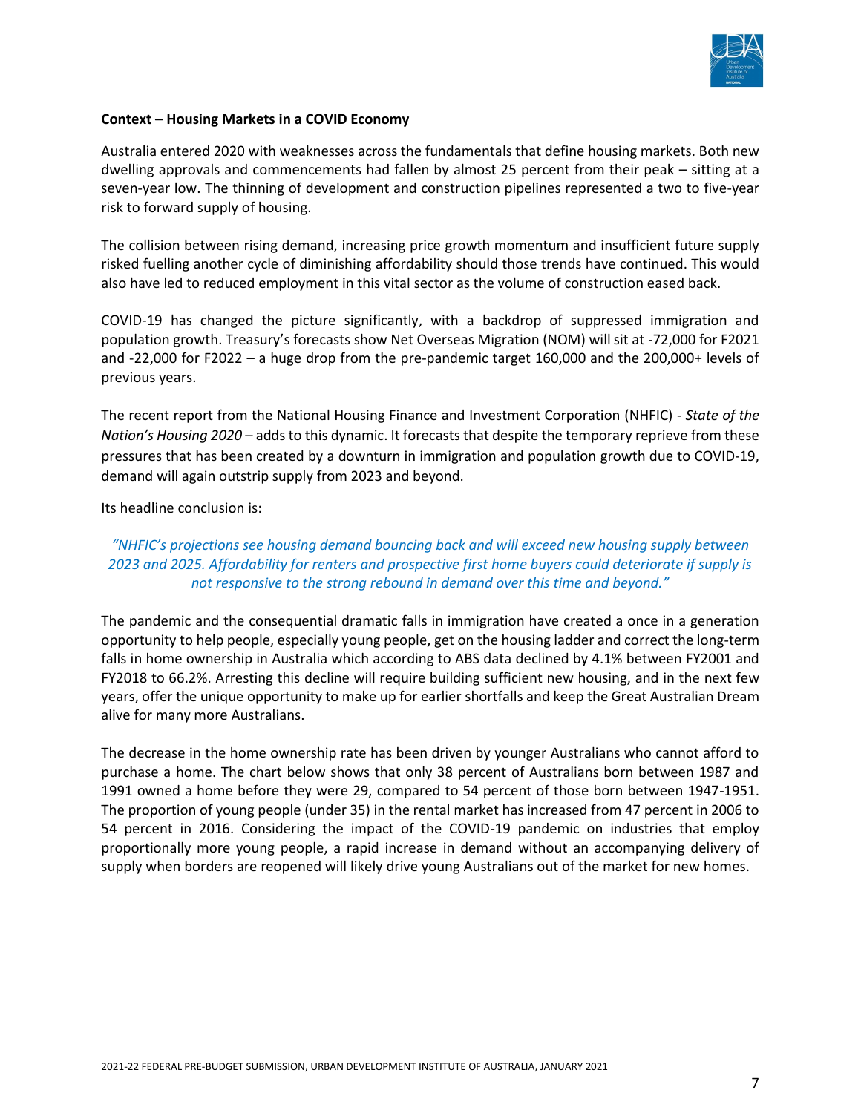

#### **Context – Housing Markets in a COVID Economy**

Australia entered 2020 with weaknesses across the fundamentals that define housing markets. Both new dwelling approvals and commencements had fallen by almost 25 percent from their peak – sitting at a seven-year low. The thinning of development and construction pipelines represented a two to five-year risk to forward supply of housing.

The collision between rising demand, increasing price growth momentum and insufficient future supply risked fuelling another cycle of diminishing affordability should those trends have continued. This would also have led to reduced employment in this vital sector as the volume of construction eased back.

COVID-19 has changed the picture significantly, with a backdrop of suppressed immigration and population growth. Treasury's forecasts show Net Overseas Migration (NOM) will sit at -72,000 for F2021 and -22,000 for F2022 – a huge drop from the pre-pandemic target 160,000 and the 200,000+ levels of previous years.

The recent report from the National Housing Finance and Investment Corporation (NHFIC) - *State of the Nation's Housing 2020* – adds to this dynamic. It forecasts that despite the temporary reprieve from these pressures that has been created by a downturn in immigration and population growth due to COVID-19, demand will again outstrip supply from 2023 and beyond.

#### Its headline conclusion is:

# *"NHFIC's projections see housing demand bouncing back and will exceed new housing supply between 2023 and 2025. Affordability for renters and prospective first home buyers could deteriorate if supply is not responsive to the strong rebound in demand over this time and beyond."*

The pandemic and the consequential dramatic falls in immigration have created a once in a generation opportunity to help people, especially young people, get on the housing ladder and correct the long-term falls in home ownership in Australia which according to ABS data declined by 4.1% between FY2001 and FY2018 to 66.2%. Arresting this decline will require building sufficient new housing, and in the next few years, offer the unique opportunity to make up for earlier shortfalls and keep the Great Australian Dream alive for many more Australians.

The decrease in the home ownership rate has been driven by younger Australians who cannot afford to purchase a home. The chart below shows that only 38 percent of Australians born between 1987 and 1991 owned a home before they were 29, compared to 54 percent of those born between 1947-1951. The proportion of young people (under 35) in the rental market has increased from 47 percent in 2006 to 54 percent in 2016. Considering the impact of the COVID-19 pandemic on industries that employ proportionally more young people, a rapid increase in demand without an accompanying delivery of supply when borders are reopened will likely drive young Australians out of the market for new homes.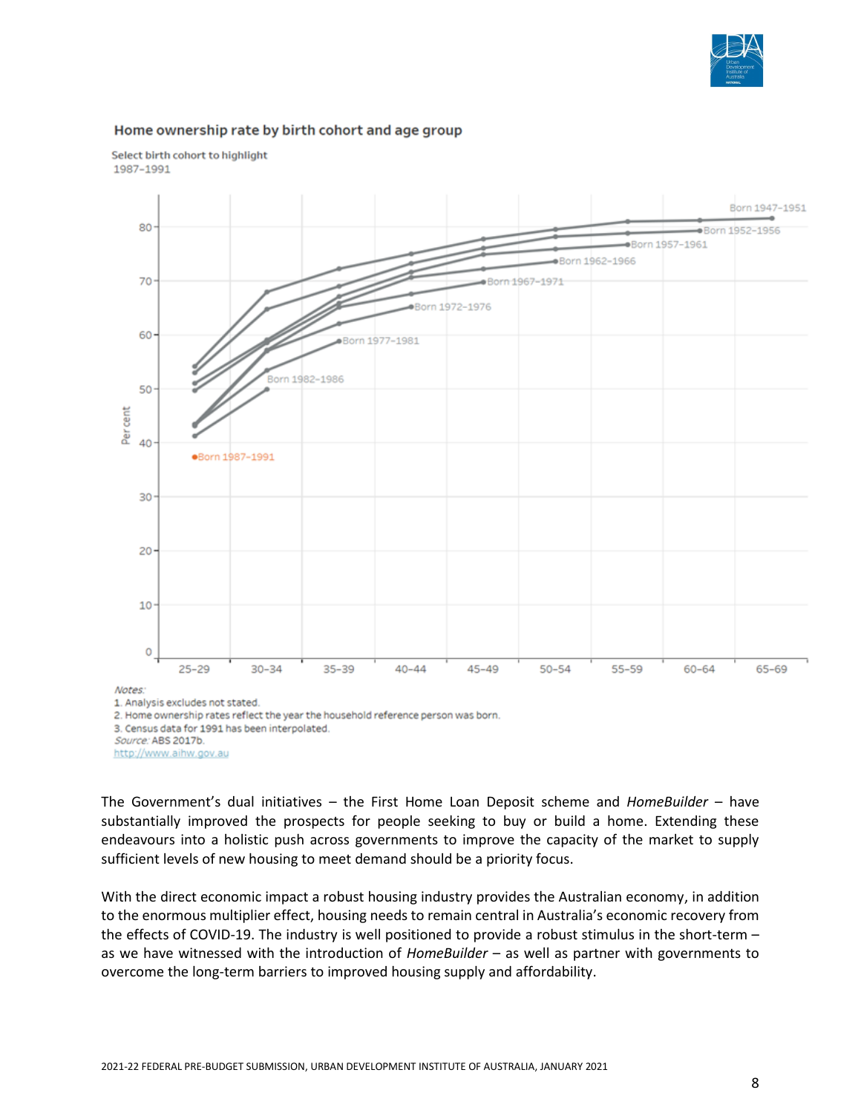

#### Home ownership rate by birth cohort and age group



Select birth cohort to highlight 1987-1991

1. Analysis excludes not stated. 2. Home ownership rates reflect the year the household reference person was born. 3. Census data for 1991 has been interpolated. Source: ABS 2017b. http://www.aihw.gov.au

The Government's dual initiatives – the First Home Loan Deposit scheme and *HomeBuilder* – have substantially improved the prospects for people seeking to buy or build a home. Extending these endeavours into a holistic push across governments to improve the capacity of the market to supply sufficient levels of new housing to meet demand should be a priority focus.

With the direct economic impact a robust housing industry provides the Australian economy, in addition to the enormous multiplier effect, housing needs to remain central in Australia's economic recovery from the effects of COVID-19. The industry is well positioned to provide a robust stimulus in the short-term – as we have witnessed with the introduction of *HomeBuilder* – as well as partner with governments to overcome the long-term barriers to improved housing supply and affordability.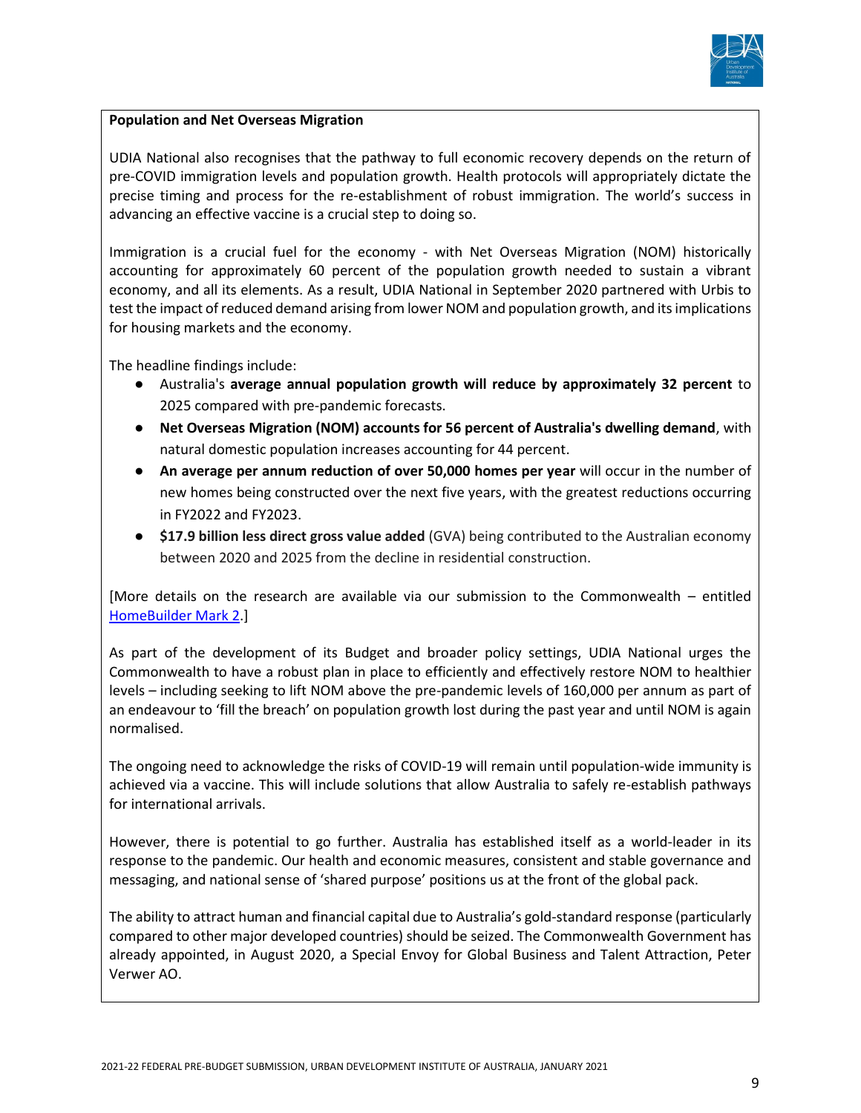

# **Population and Net Overseas Migration**

UDIA National also recognises that the pathway to full economic recovery depends on the return of pre-COVID immigration levels and population growth. Health protocols will appropriately dictate the precise timing and process for the re-establishment of robust immigration. The world's success in advancing an effective vaccine is a crucial step to doing so.

Immigration is a crucial fuel for the economy - with Net Overseas Migration (NOM) historically accounting for approximately 60 percent of the population growth needed to sustain a vibrant economy, and all its elements. As a result, UDIA National in September 2020 partnered with Urbis to test the impact of reduced demand arising from lower NOM and population growth, and its implications for housing markets and the economy.

The headline findings include:

- Australia's **average annual population growth will reduce by approximately 32 percent** to 2025 compared with pre-pandemic forecasts.
- **Net Overseas Migration (NOM) accounts for 56 percent of Australia's dwelling demand**, with natural domestic population increases accounting for 44 percent.
- **An average per annum reduction of over 50,000 homes per year** will occur in the number of new homes being constructed over the next five years, with the greatest reductions occurring in FY2022 and FY2023.
- **\$17.9 billion less direct gross value added** (GVA) being contributed to the Australian economy between 2020 and 2025 from the decline in residential construction.

[More details on the research are available via our submission to the Commonwealth – entitled [HomeBuilder Mark 2.](https://udia.com.au/submission/homebuilder-mark-2/)]

As part of the development of its Budget and broader policy settings, UDIA National urges the Commonwealth to have a robust plan in place to efficiently and effectively restore NOM to healthier levels – including seeking to lift NOM above the pre-pandemic levels of 160,000 per annum as part of an endeavour to 'fill the breach' on population growth lost during the past year and until NOM is again normalised.

The ongoing need to acknowledge the risks of COVID-19 will remain until population-wide immunity is achieved via a vaccine. This will include solutions that allow Australia to safely re-establish pathways for international arrivals.

However, there is potential to go further. Australia has established itself as a world-leader in its response to the pandemic. Our health and economic measures, consistent and stable governance and messaging, and national sense of 'shared purpose' positions us at the front of the global pack.

The ability to attract human and financial capital due to Australia's gold-standard response (particularly compared to other major developed countries) should be seized. The Commonwealth Government has already appointed, in August 2020, a Special Envoy for Global Business and Talent Attraction, Peter Verwer AO.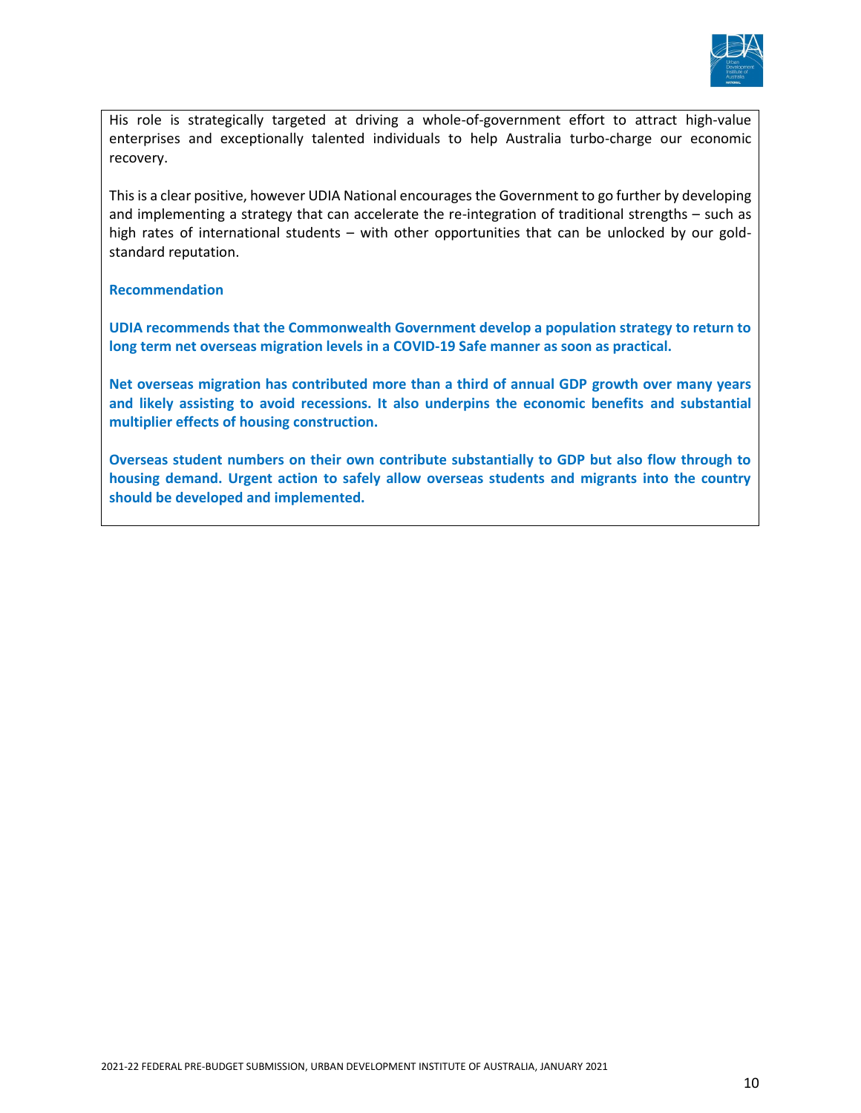

His role is strategically targeted at driving a whole-of-government effort to attract high-value enterprises and exceptionally talented individuals to help Australia turbo-charge our economic recovery.

This is a clear positive, however UDIA National encourages the Government to go further by developing and implementing a strategy that can accelerate the re-integration of traditional strengths – such as high rates of international students – with other opportunities that can be unlocked by our goldstandard reputation.

#### **Recommendation**

**UDIA recommends that the Commonwealth Government develop a population strategy to return to long term net overseas migration levels in a COVID-19 Safe manner as soon as practical.** 

**Net overseas migration has contributed more than a third of annual GDP growth over many years and likely assisting to avoid recessions. It also underpins the economic benefits and substantial multiplier effects of housing construction.** 

**Overseas student numbers on their own contribute substantially to GDP but also flow through to housing demand. Urgent action to safely allow overseas students and migrants into the country should be developed and implemented.**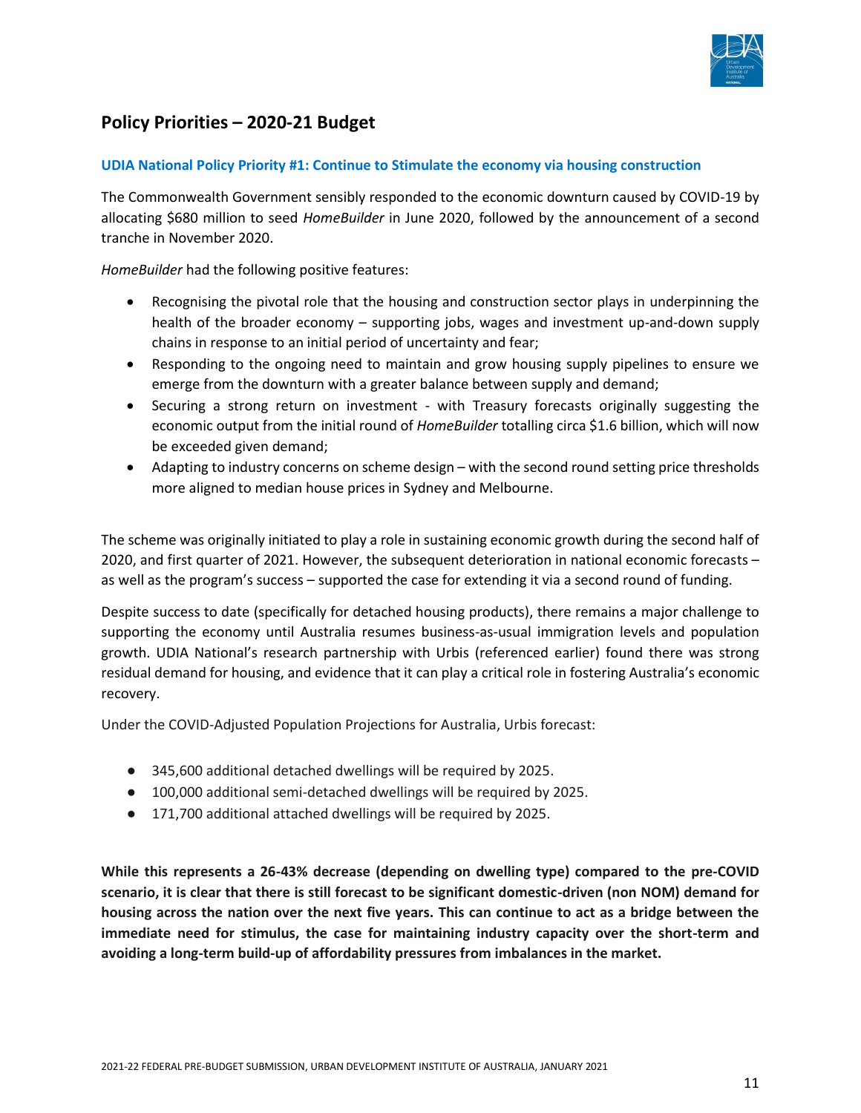

# **Policy Priorities – 2020-21 Budget**

#### **UDIA National Policy Priority #1: Continue to Stimulate the economy via housing construction**

The Commonwealth Government sensibly responded to the economic downturn caused by COVID-19 by allocating \$680 million to seed *HomeBuilder* in June 2020, followed by the announcement of a second tranche in November 2020.

*HomeBuilder* had the following positive features:

- Recognising the pivotal role that the housing and construction sector plays in underpinning the health of the broader economy – supporting jobs, wages and investment up-and-down supply chains in response to an initial period of uncertainty and fear;
- Responding to the ongoing need to maintain and grow housing supply pipelines to ensure we emerge from the downturn with a greater balance between supply and demand;
- Securing a strong return on investment with Treasury forecasts originally suggesting the economic output from the initial round of *HomeBuilder* totalling circa \$1.6 billion, which will now be exceeded given demand;
- Adapting to industry concerns on scheme design with the second round setting price thresholds more aligned to median house prices in Sydney and Melbourne.

The scheme was originally initiated to play a role in sustaining economic growth during the second half of 2020, and first quarter of 2021. However, the subsequent deterioration in national economic forecasts – as well as the program's success – supported the case for extending it via a second round of funding.

Despite success to date (specifically for detached housing products), there remains a major challenge to supporting the economy until Australia resumes business-as-usual immigration levels and population growth. UDIA National's research partnership with Urbis (referenced earlier) found there was strong residual demand for housing, and evidence that it can play a critical role in fostering Australia's economic recovery.

Under the COVID-Adjusted Population Projections for Australia, Urbis forecast:

- 345,600 additional detached dwellings will be required by 2025.
- 100,000 additional semi-detached dwellings will be required by 2025.
- 171,700 additional attached dwellings will be required by 2025.

**While this represents a 26-43% decrease (depending on dwelling type) compared to the pre-COVID scenario, it is clear that there is still forecast to be significant domestic-driven (non NOM) demand for housing across the nation over the next five years. This can continue to act as a bridge between the immediate need for stimulus, the case for maintaining industry capacity over the short-term and avoiding a long-term build-up of affordability pressures from imbalances in the market.**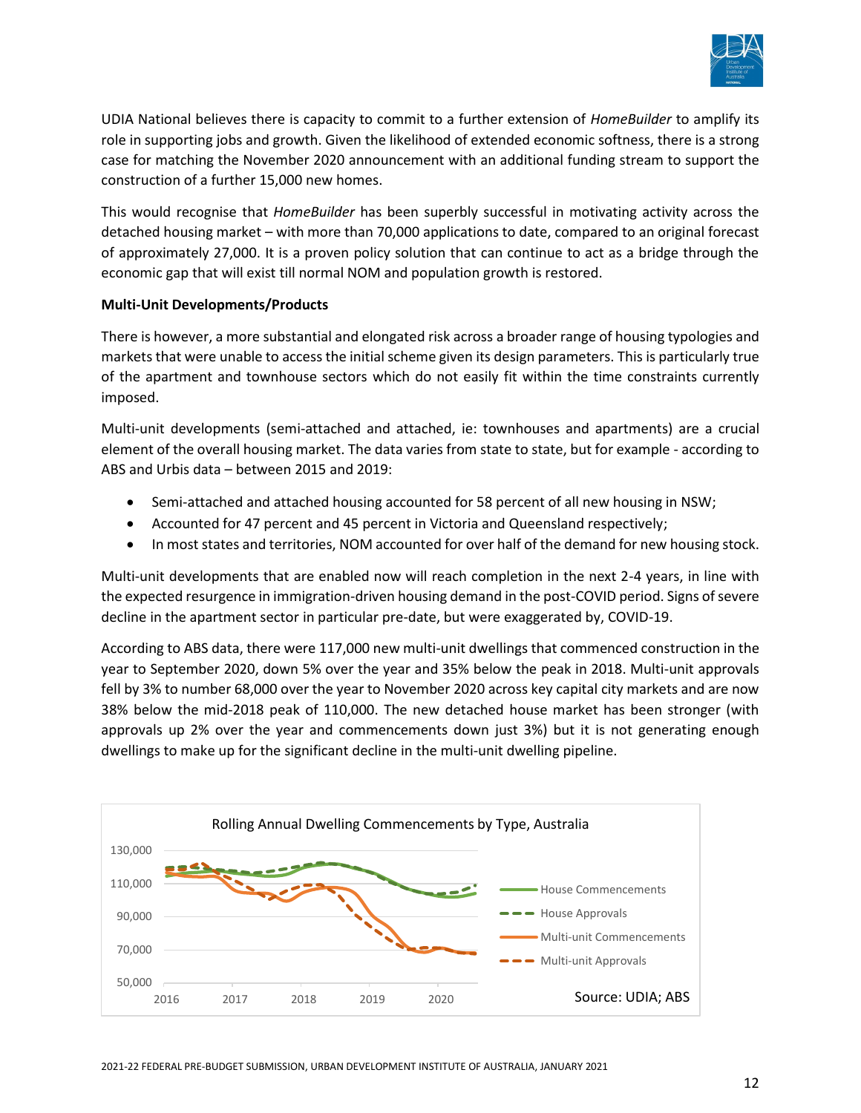

UDIA National believes there is capacity to commit to a further extension of *HomeBuilder* to amplify its role in supporting jobs and growth. Given the likelihood of extended economic softness, there is a strong case for matching the November 2020 announcement with an additional funding stream to support the construction of a further 15,000 new homes.

This would recognise that *HomeBuilder* has been superbly successful in motivating activity across the detached housing market – with more than 70,000 applications to date, compared to an original forecast of approximately 27,000. It is a proven policy solution that can continue to act as a bridge through the economic gap that will exist till normal NOM and population growth is restored.

# **Multi-Unit Developments/Products**

There is however, a more substantial and elongated risk across a broader range of housing typologies and markets that were unable to access the initial scheme given its design parameters. This is particularly true of the apartment and townhouse sectors which do not easily fit within the time constraints currently imposed.

Multi-unit developments (semi-attached and attached, ie: townhouses and apartments) are a crucial element of the overall housing market. The data varies from state to state, but for example - according to ABS and Urbis data – between 2015 and 2019:

- Semi-attached and attached housing accounted for 58 percent of all new housing in NSW;
- Accounted for 47 percent and 45 percent in Victoria and Queensland respectively;
- In most states and territories, NOM accounted for over half of the demand for new housing stock.

Multi-unit developments that are enabled now will reach completion in the next 2-4 years, in line with the expected resurgence in immigration-driven housing demand in the post-COVID period. Signs of severe decline in the apartment sector in particular pre-date, but were exaggerated by, COVID-19.

According to ABS data, there were 117,000 new multi-unit dwellings that commenced construction in the year to September 2020, down 5% over the year and 35% below the peak in 2018. Multi-unit approvals fell by 3% to number 68,000 over the year to November 2020 across key capital city markets and are now 38% below the mid-2018 peak of 110,000. The new detached house market has been stronger (with approvals up 2% over the year and commencements down just 3%) but it is not generating enough dwellings to make up for the significant decline in the multi-unit dwelling pipeline.

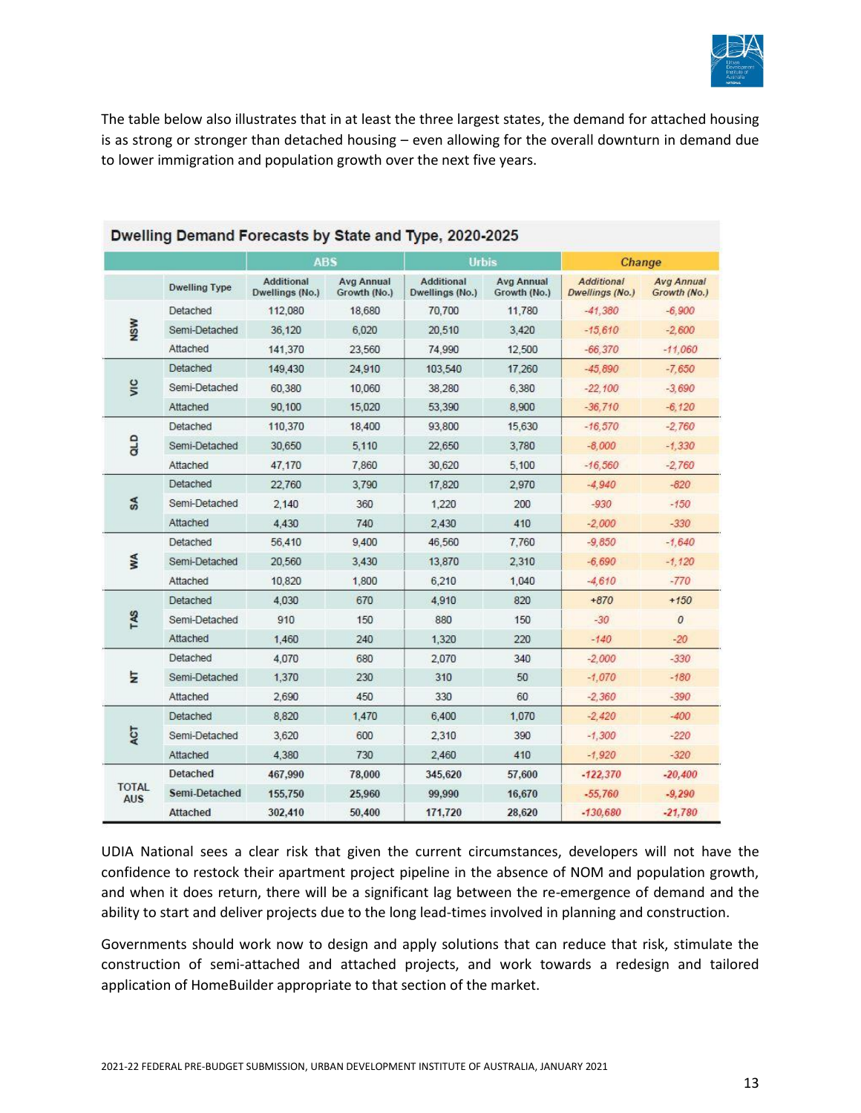

The table below also illustrates that in at least the three largest states, the demand for attached housing is as strong or stronger than detached housing – even allowing for the overall downturn in demand due to lower immigration and population growth over the next five years.

|                            |                      | <b>ABS</b>                           |                                   | <b>Urbis</b>                         |                                   | Change                               |                                   |
|----------------------------|----------------------|--------------------------------------|-----------------------------------|--------------------------------------|-----------------------------------|--------------------------------------|-----------------------------------|
|                            | <b>Dwelling Type</b> | <b>Additional</b><br>Dwellings (No.) | <b>Avg Annual</b><br>Growth (No.) | <b>Additional</b><br>Dwellings (No.) | <b>Avg Annual</b><br>Growth (No.) | <b>Additional</b><br>Dwellings (No.) | <b>Avg Annual</b><br>Growth (No.) |
| <b>NSW</b>                 | Detached             | 112,080                              | 18,680                            | 70,700                               | 11,780                            | $-41,380$                            | $-6.900$                          |
|                            | Semi-Detached        | 36,120                               | 6,020                             | 20,510                               | 3.420                             | $-15.610$                            | $-2,600$                          |
|                            | Attached             | 141,370                              | 23,560                            | 74,990                               | 12,500                            | $-66,370$                            | $-11,060$                         |
| vic                        | Detached             | 149,430                              | 24,910                            | 103,540                              | 17,260                            | $-45.890$                            | $-7,650$                          |
|                            | Semi-Detached        | 60,380                               | 10,060                            | 38,280                               | 6,380                             | $-22,100$                            | $-3,690$                          |
|                            | Attached             | 90,100                               | 15,020                            | 53,390                               | 8,900                             | $-36.710$                            | $-6.120$                          |
| aLD                        | Detached             | 110,370                              | 18,400                            | 93,800                               | 15,630                            | $-16.570$                            | $-2.760$                          |
|                            | Semi-Detached        | 30,650                               | 5,110                             | 22,650                               | 3,780                             | $-8,000$                             | $-1,330$                          |
|                            | Attached             | 47,170                               | 7,860                             | 30,620                               | 5,100                             | $-16.560$                            | $-2,760$                          |
| $s_{A}$                    | Detached             | 22,760                               | 3,790                             | 17,820                               | 2,970                             | $-4.940$                             | $-820$                            |
|                            | Semi-Detached        | 2.140                                | 360                               | 1,220                                | 200                               | $-930$                               | $-150$                            |
|                            | Attached             | 4.430                                | 740                               | 2,430                                | 410                               | $-2,000$                             | $-330$                            |
| WA                         | Detached             | 56,410                               | 9.400                             | 46,560                               | 7.760                             | $-9,850$                             | $-1.640$                          |
|                            | Semi-Detached        | 20,560                               | 3.430                             | 13,870                               | 2,310                             | $-6,690$                             | $-1,120$                          |
|                            | Attached             | 10,820                               | 1,800                             | 6,210                                | 1,040                             | $-4,610$                             | $-770$                            |
| TAS                        | Detached             | 4.030                                | 670                               | 4,910                                | 820                               | $+870$                               | $+150$                            |
|                            | Semi-Detached        | 910                                  | 150                               | 880                                  | 150                               | $-30$                                | $\mathcal{O}$                     |
|                            | Attached             | 1.460                                | 240                               | 1,320                                | 220                               | $-140$                               | $-20$                             |
| Ξ                          | Detached             | 4.070                                | 680                               | 2,070                                | 340                               | $-2,000$                             | $-330$                            |
|                            | Semi-Detached        | 1,370                                | 230                               | 310                                  | 50                                | $-1,070$                             | $-180$                            |
|                            | Attached             | 2,690                                | 450                               | 330                                  | 60                                | $-2,360$                             | $-390$                            |
| ACT                        | Detached             | 8,820                                | 1,470                             | 6,400                                | 1,070                             | $-2,420$                             | $-400$                            |
|                            | Semi-Detached        | 3,620                                | 600                               | 2,310                                | 390                               | $-1,300$                             | $-220$                            |
|                            | Attached             | 4.380                                | 730                               | 2,460                                | 410                               | $-1.920$                             | $-320$                            |
|                            | Detached             | 467,990                              | 78,000                            | 345,620                              | 57,600                            | $-122,370$                           | $-20,400$                         |
| <b>TOTAL</b><br><b>AUS</b> | Semi-Detached        | 155,750                              | 25,960                            | 99,990                               | 16,670                            | $-55,760$                            | $-9,290$                          |
|                            | Attached             | 302,410                              | 50,400                            | 171,720                              | 28,620                            | $-130,680$                           | $-21,780$                         |

# Dwelling Demand Forecasts by State and Type, 2020-2025

UDIA National sees a clear risk that given the current circumstances, developers will not have the confidence to restock their apartment project pipeline in the absence of NOM and population growth, and when it does return, there will be a significant lag between the re-emergence of demand and the ability to start and deliver projects due to the long lead-times involved in planning and construction.

Governments should work now to design and apply solutions that can reduce that risk, stimulate the construction of semi-attached and attached projects, and work towards a redesign and tailored application of HomeBuilder appropriate to that section of the market.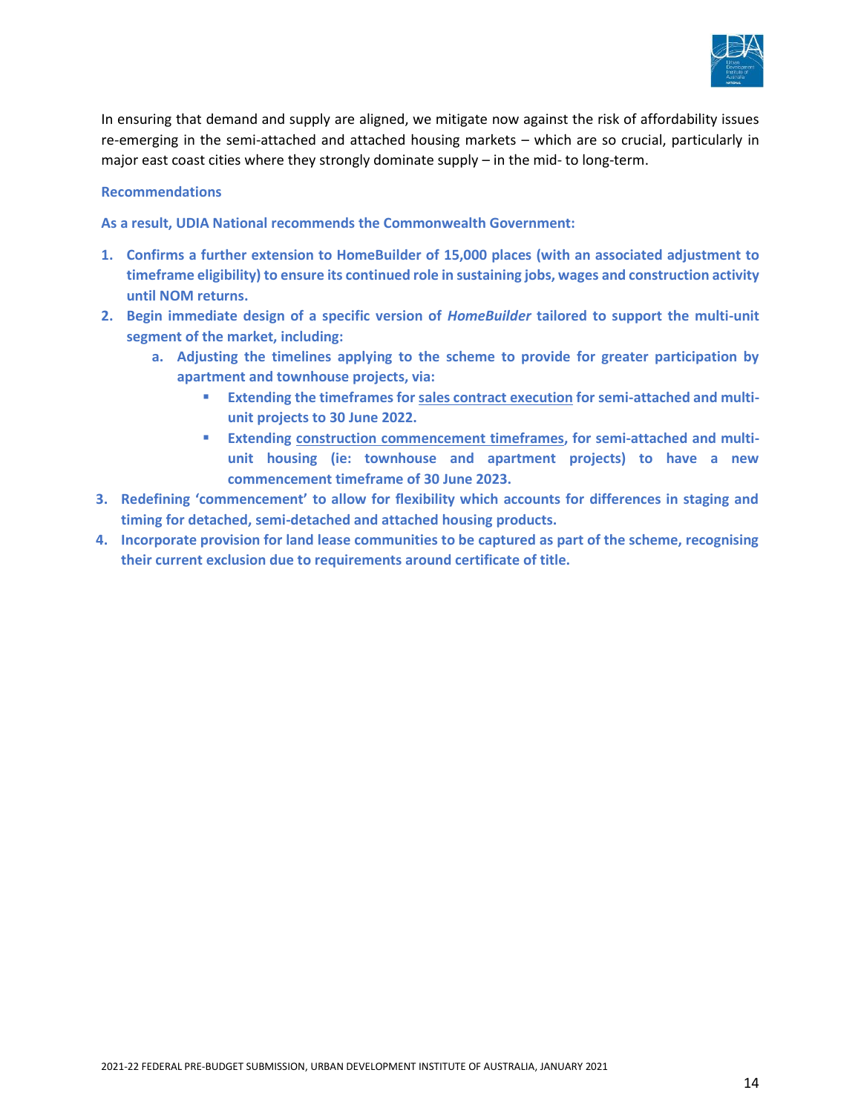

In ensuring that demand and supply are aligned, we mitigate now against the risk of affordability issues re-emerging in the semi-attached and attached housing markets – which are so crucial, particularly in major east coast cities where they strongly dominate supply – in the mid- to long-term.

#### **Recommendations**

**As a result, UDIA National recommends the Commonwealth Government:**

- **1. Confirms a further extension to HomeBuilder of 15,000 places (with an associated adjustment to timeframe eligibility) to ensure its continued role in sustaining jobs, wages and construction activity until NOM returns.**
- **2. Begin immediate design of a specific version of** *HomeBuilder* **tailored to support the multi-unit segment of the market, including:**
	- **a. Adjusting the timelines applying to the scheme to provide for greater participation by apartment and townhouse projects, via:**
		- **Extending the timeframes for sales contract execution for semi-attached and multiunit projects to 30 June 2022.**
		- **Extending construction commencement timeframes, for semi-attached and multiunit housing (ie: townhouse and apartment projects) to have a new commencement timeframe of 30 June 2023.**
- **3. Redefining 'commencement' to allow for flexibility which accounts for differences in staging and timing for detached, semi-detached and attached housing products.**
- **4. Incorporate provision for land lease communities to be captured as part of the scheme, recognising their current exclusion due to requirements around certificate of title.**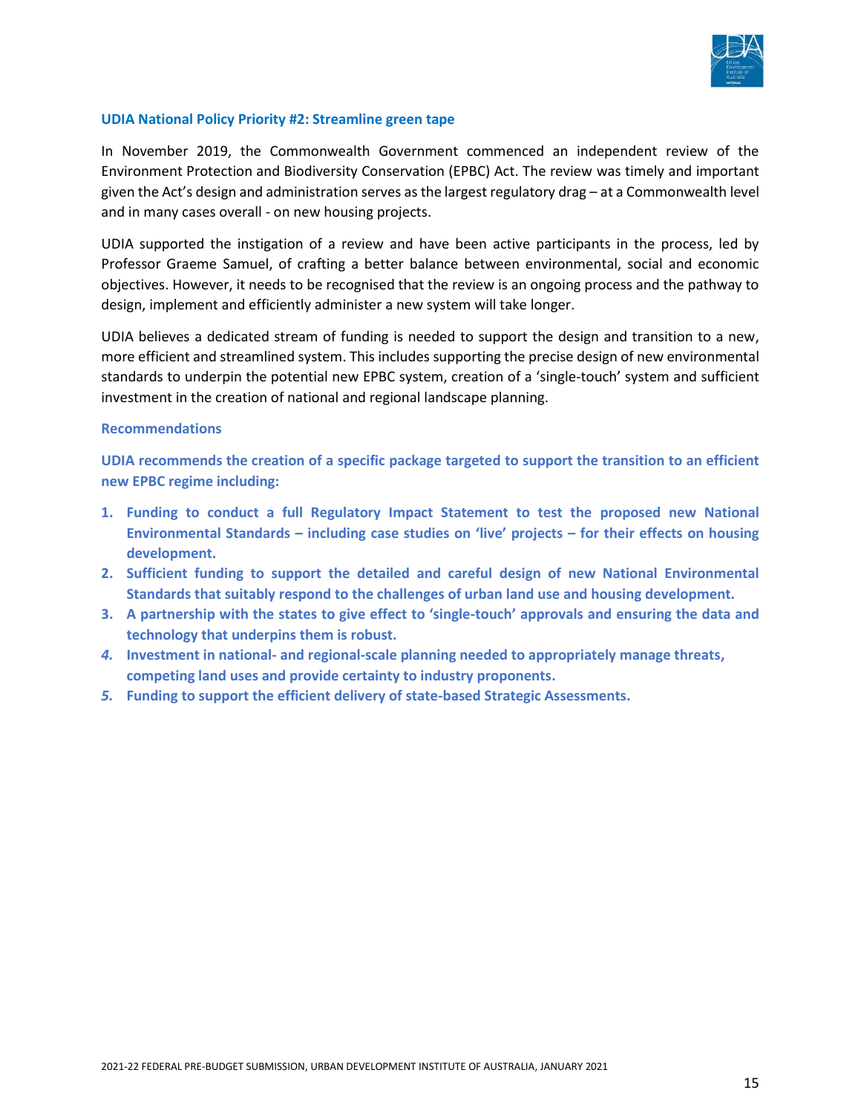

#### **UDIA National Policy Priority #2: Streamline green tape**

In November 2019, the Commonwealth Government commenced an independent review of the Environment Protection and Biodiversity Conservation (EPBC) Act. The review was timely and important given the Act's design and administration serves as the largest regulatory drag – at a Commonwealth level and in many cases overall - on new housing projects.

UDIA supported the instigation of a review and have been active participants in the process, led by Professor Graeme Samuel, of crafting a better balance between environmental, social and economic objectives. However, it needs to be recognised that the review is an ongoing process and the pathway to design, implement and efficiently administer a new system will take longer.

UDIA believes a dedicated stream of funding is needed to support the design and transition to a new, more efficient and streamlined system. This includes supporting the precise design of new environmental standards to underpin the potential new EPBC system, creation of a 'single-touch' system and sufficient investment in the creation of national and regional landscape planning.

#### **Recommendations**

**UDIA recommends the creation of a specific package targeted to support the transition to an efficient new EPBC regime including:**

- **1. Funding to conduct a full Regulatory Impact Statement to test the proposed new National Environmental Standards – including case studies on 'live' projects – for their effects on housing development.**
- **2. Sufficient funding to support the detailed and careful design of new National Environmental Standards that suitably respond to the challenges of urban land use and housing development.**
- **3. A partnership with the states to give effect to 'single-touch' approvals and ensuring the data and technology that underpins them is robust.**
- *4.* **Investment in national- and regional-scale planning needed to appropriately manage threats, competing land uses and provide certainty to industry proponents.**
- *5.* **Funding to support the efficient delivery of state-based Strategic Assessments.**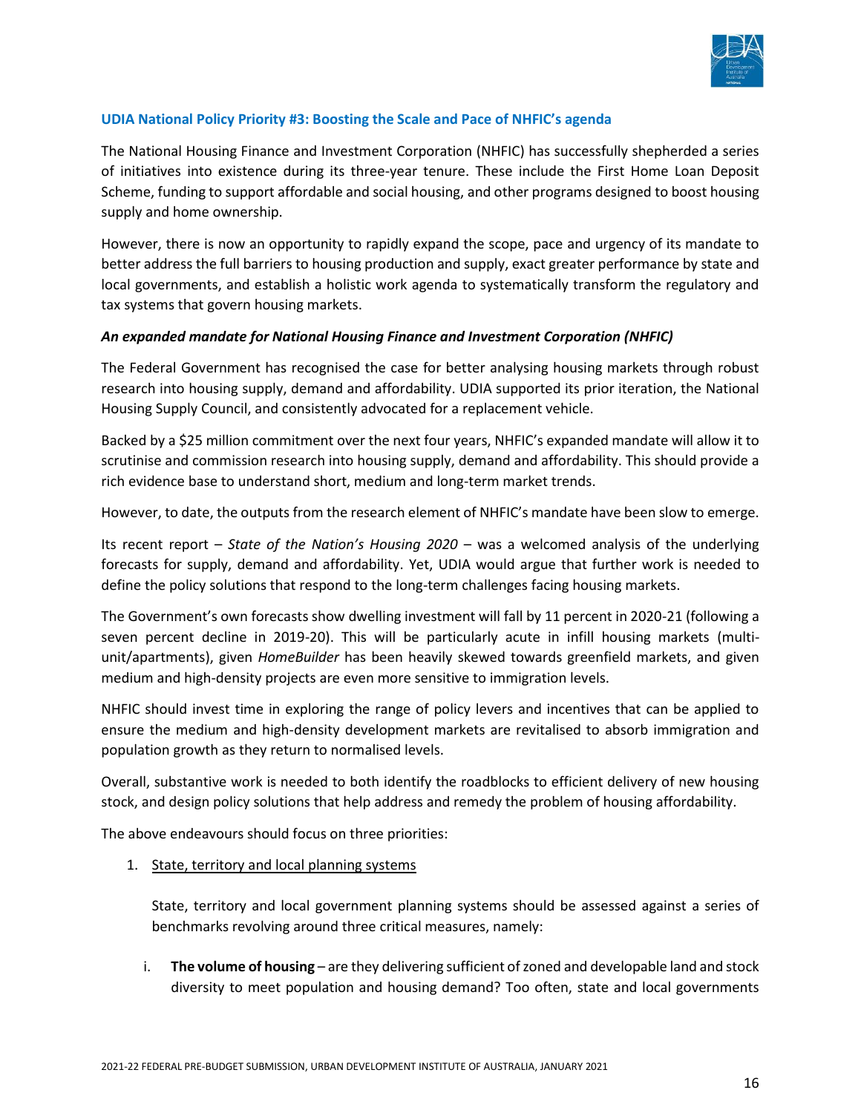

# **UDIA National Policy Priority #3: Boosting the Scale and Pace of NHFIC's agenda**

The National Housing Finance and Investment Corporation (NHFIC) has successfully shepherded a series of initiatives into existence during its three-year tenure. These include the First Home Loan Deposit Scheme, funding to support affordable and social housing, and other programs designed to boost housing supply and home ownership.

However, there is now an opportunity to rapidly expand the scope, pace and urgency of its mandate to better address the full barriers to housing production and supply, exact greater performance by state and local governments, and establish a holistic work agenda to systematically transform the regulatory and tax systems that govern housing markets.

# *An expanded mandate for National Housing Finance and Investment Corporation (NHFIC)*

The Federal Government has recognised the case for better analysing housing markets through robust research into housing supply, demand and affordability. UDIA supported its prior iteration, the National Housing Supply Council, and consistently advocated for a replacement vehicle.

Backed by a \$25 million commitment over the next four years, NHFIC's expanded mandate will allow it to scrutinise and commission research into housing supply, demand and affordability. This should provide a rich evidence base to understand short, medium and long-term market trends.

However, to date, the outputs from the research element of NHFIC's mandate have been slow to emerge.

Its recent report – *State of the Nation's Housing 2020* – was a welcomed analysis of the underlying forecasts for supply, demand and affordability. Yet, UDIA would argue that further work is needed to define the policy solutions that respond to the long-term challenges facing housing markets.

The Government's own forecasts show dwelling investment will fall by 11 percent in 2020-21 (following a seven percent decline in 2019-20). This will be particularly acute in infill housing markets (multiunit/apartments), given *HomeBuilder* has been heavily skewed towards greenfield markets, and given medium and high-density projects are even more sensitive to immigration levels.

NHFIC should invest time in exploring the range of policy levers and incentives that can be applied to ensure the medium and high-density development markets are revitalised to absorb immigration and population growth as they return to normalised levels.

Overall, substantive work is needed to both identify the roadblocks to efficient delivery of new housing stock, and design policy solutions that help address and remedy the problem of housing affordability.

The above endeavours should focus on three priorities:

1. State, territory and local planning systems

State, territory and local government planning systems should be assessed against a series of benchmarks revolving around three critical measures, namely:

i. **The volume of housing** – are they delivering sufficient of zoned and developable land and stock diversity to meet population and housing demand? Too often, state and local governments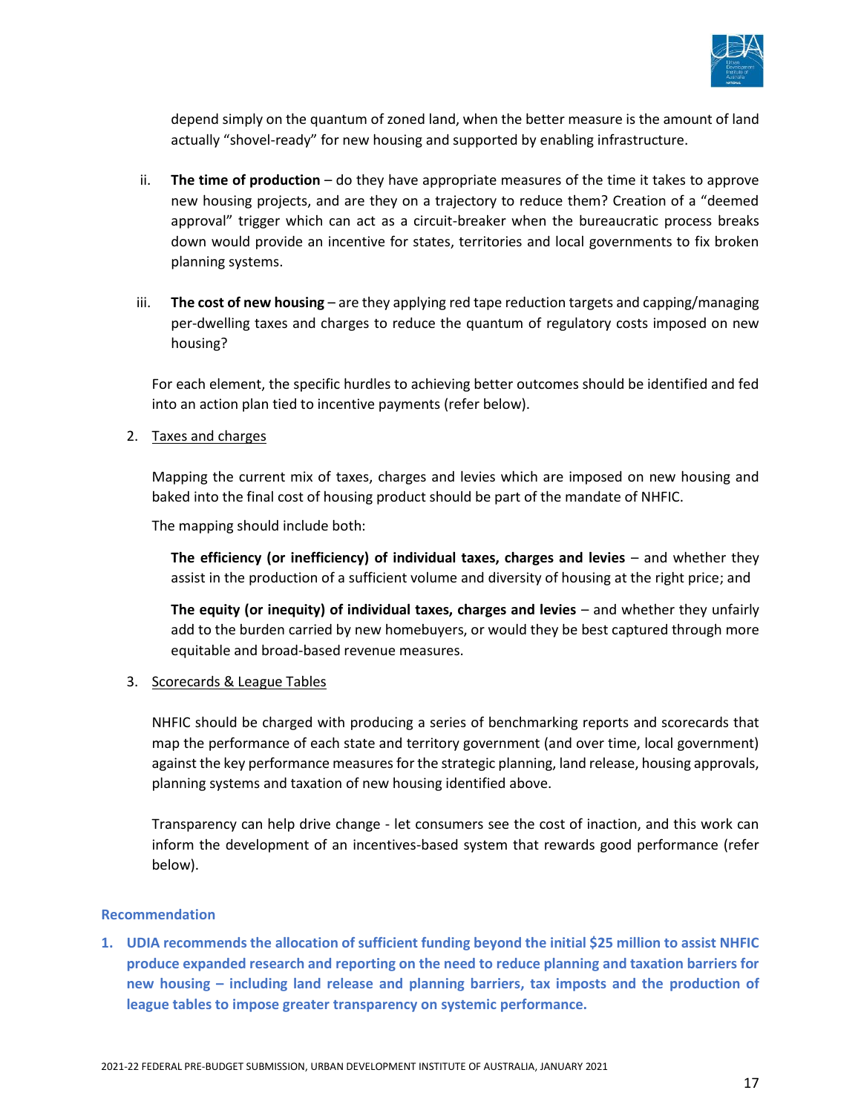

depend simply on the quantum of zoned land, when the better measure is the amount of land actually "shovel-ready" for new housing and supported by enabling infrastructure.

- ii. **The time of production**  do they have appropriate measures of the time it takes to approve new housing projects, and are they on a trajectory to reduce them? Creation of a "deemed approval" trigger which can act as a circuit-breaker when the bureaucratic process breaks down would provide an incentive for states, territories and local governments to fix broken planning systems.
- iii. **The cost of new housing** are they applying red tape reduction targets and capping/managing per-dwelling taxes and charges to reduce the quantum of regulatory costs imposed on new housing?

For each element, the specific hurdles to achieving better outcomes should be identified and fed into an action plan tied to incentive payments (refer below).

2. Taxes and charges

Mapping the current mix of taxes, charges and levies which are imposed on new housing and baked into the final cost of housing product should be part of the mandate of NHFIC.

The mapping should include both:

**The efficiency (or inefficiency) of individual taxes, charges and levies – and whether they** assist in the production of a sufficient volume and diversity of housing at the right price; and

**The equity (or inequity) of individual taxes, charges and levies** – and whether they unfairly add to the burden carried by new homebuyers, or would they be best captured through more equitable and broad-based revenue measures.

3. Scorecards & League Tables

NHFIC should be charged with producing a series of benchmarking reports and scorecards that map the performance of each state and territory government (and over time, local government) against the key performance measures for the strategic planning, land release, housing approvals, planning systems and taxation of new housing identified above.

Transparency can help drive change - let consumers see the cost of inaction, and this work can inform the development of an incentives-based system that rewards good performance (refer below).

#### **Recommendation**

**1. UDIA recommends the allocation of sufficient funding beyond the initial \$25 million to assist NHFIC produce expanded research and reporting on the need to reduce planning and taxation barriers for new housing – including land release and planning barriers, tax imposts and the production of league tables to impose greater transparency on systemic performance.**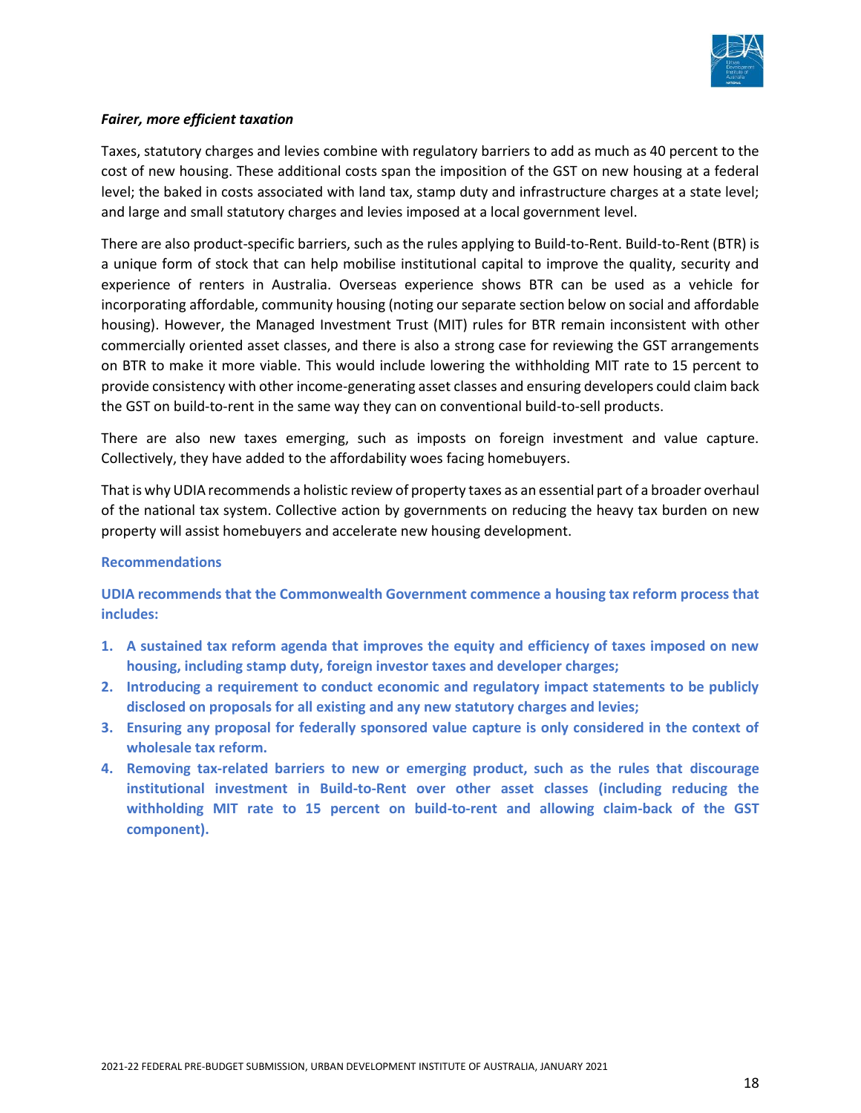

# *Fairer, more efficient taxation*

Taxes, statutory charges and levies combine with regulatory barriers to add as much as 40 percent to the cost of new housing. These additional costs span the imposition of the GST on new housing at a federal level; the baked in costs associated with land tax, stamp duty and infrastructure charges at a state level; and large and small statutory charges and levies imposed at a local government level.

There are also product-specific barriers, such as the rules applying to Build-to-Rent. Build-to-Rent (BTR) is a unique form of stock that can help mobilise institutional capital to improve the quality, security and experience of renters in Australia. Overseas experience shows BTR can be used as a vehicle for incorporating affordable, community housing (noting our separate section below on social and affordable housing). However, the Managed Investment Trust (MIT) rules for BTR remain inconsistent with other commercially oriented asset classes, and there is also a strong case for reviewing the GST arrangements on BTR to make it more viable. This would include lowering the withholding MIT rate to 15 percent to provide consistency with other income-generating asset classes and ensuring developers could claim back the GST on build-to-rent in the same way they can on conventional build-to-sell products.

There are also new taxes emerging, such as imposts on foreign investment and value capture. Collectively, they have added to the affordability woes facing homebuyers.

That is why UDIA recommends a holistic review of property taxes as an essential part of a broader overhaul of the national tax system. Collective action by governments on reducing the heavy tax burden on new property will assist homebuyers and accelerate new housing development.

#### **Recommendations**

**UDIA recommends that the Commonwealth Government commence a housing tax reform process that includes:**

- **1. A sustained tax reform agenda that improves the equity and efficiency of taxes imposed on new housing, including stamp duty, foreign investor taxes and developer charges;**
- **2. Introducing a requirement to conduct economic and regulatory impact statements to be publicly disclosed on proposals for all existing and any new statutory charges and levies;**
- **3. Ensuring any proposal for federally sponsored value capture is only considered in the context of wholesale tax reform.**
- **4. Removing tax-related barriers to new or emerging product, such as the rules that discourage institutional investment in Build-to-Rent over other asset classes (including reducing the withholding MIT rate to 15 percent on build-to-rent and allowing claim-back of the GST component).**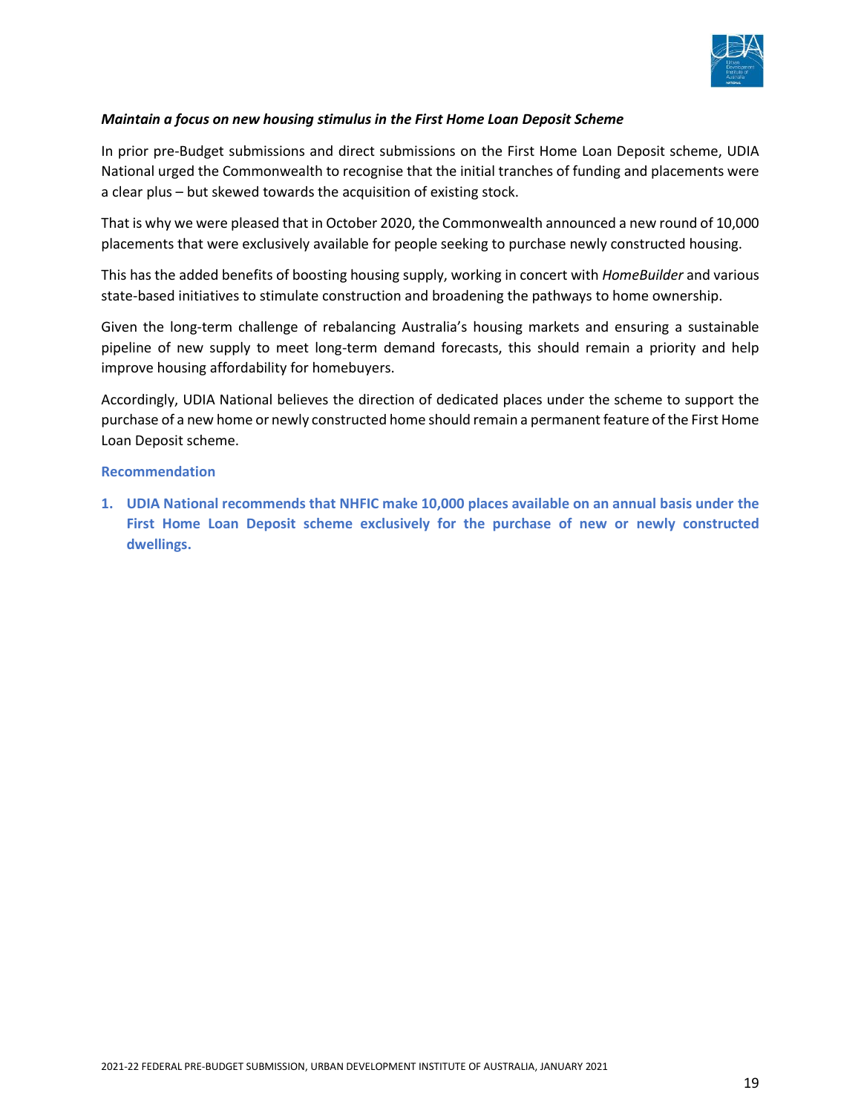

# *Maintain a focus on new housing stimulus in the First Home Loan Deposit Scheme*

In prior pre-Budget submissions and direct submissions on the First Home Loan Deposit scheme, UDIA National urged the Commonwealth to recognise that the initial tranches of funding and placements were a clear plus – but skewed towards the acquisition of existing stock.

That is why we were pleased that in October 2020, the Commonwealth announced a new round of 10,000 placements that were exclusively available for people seeking to purchase newly constructed housing.

This has the added benefits of boosting housing supply, working in concert with *HomeBuilder* and various state-based initiatives to stimulate construction and broadening the pathways to home ownership.

Given the long-term challenge of rebalancing Australia's housing markets and ensuring a sustainable pipeline of new supply to meet long-term demand forecasts, this should remain a priority and help improve housing affordability for homebuyers.

Accordingly, UDIA National believes the direction of dedicated places under the scheme to support the purchase of a new home or newly constructed home should remain a permanent feature of the First Home Loan Deposit scheme.

#### **Recommendation**

**1. UDIA National recommends that NHFIC make 10,000 places available on an annual basis under the First Home Loan Deposit scheme exclusively for the purchase of new or newly constructed dwellings.**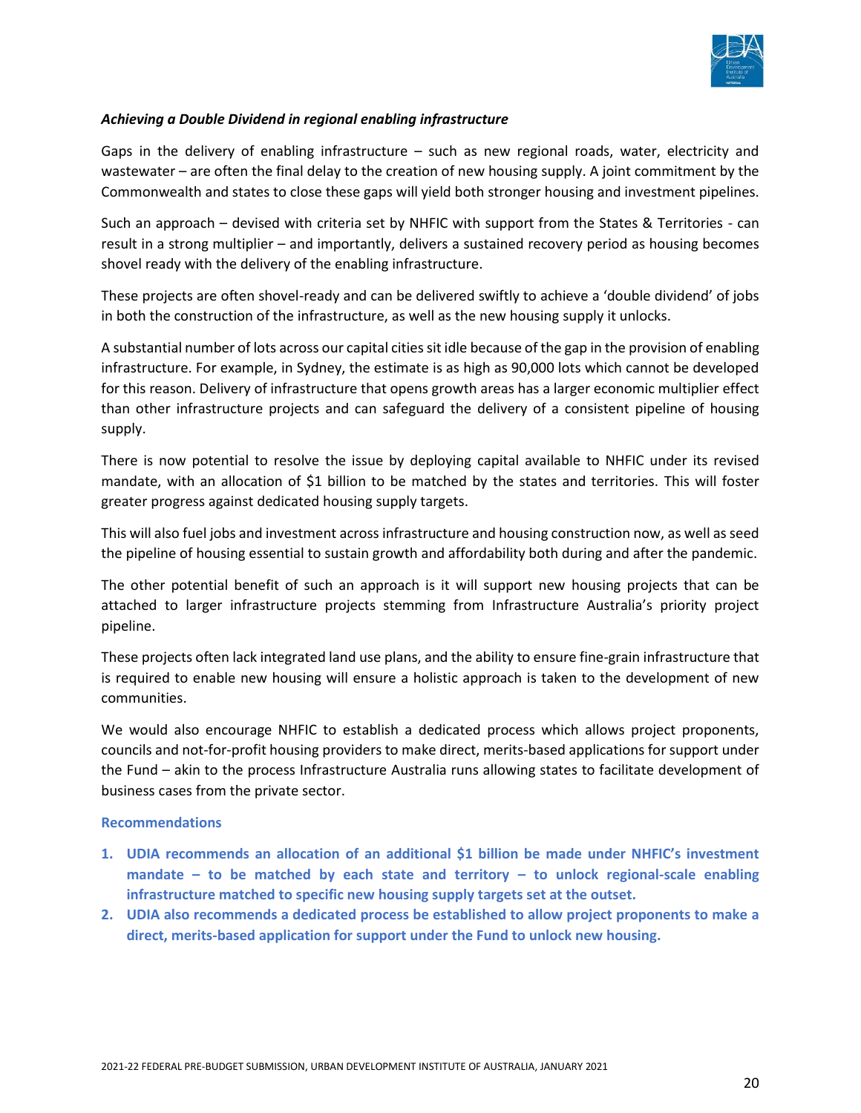

# *Achieving a Double Dividend in regional enabling infrastructure*

Gaps in the delivery of enabling infrastructure  $-$  such as new regional roads, water, electricity and wastewater – are often the final delay to the creation of new housing supply. A joint commitment by the Commonwealth and states to close these gaps will yield both stronger housing and investment pipelines.

Such an approach – devised with criteria set by NHFIC with support from the States & Territories - can result in a strong multiplier – and importantly, delivers a sustained recovery period as housing becomes shovel ready with the delivery of the enabling infrastructure.

These projects are often shovel-ready and can be delivered swiftly to achieve a 'double dividend' of jobs in both the construction of the infrastructure, as well as the new housing supply it unlocks.

A substantial number of lots across our capital cities sit idle because of the gap in the provision of enabling infrastructure. For example, in Sydney, the estimate is as high as 90,000 lots which cannot be developed for this reason. Delivery of infrastructure that opens growth areas has a larger economic multiplier effect than other infrastructure projects and can safeguard the delivery of a consistent pipeline of housing supply.

There is now potential to resolve the issue by deploying capital available to NHFIC under its revised mandate, with an allocation of \$1 billion to be matched by the states and territories. This will foster greater progress against dedicated housing supply targets.

This will also fuel jobs and investment across infrastructure and housing construction now, as well as seed the pipeline of housing essential to sustain growth and affordability both during and after the pandemic.

The other potential benefit of such an approach is it will support new housing projects that can be attached to larger infrastructure projects stemming from Infrastructure Australia's priority project pipeline.

These projects often lack integrated land use plans, and the ability to ensure fine-grain infrastructure that is required to enable new housing will ensure a holistic approach is taken to the development of new communities.

We would also encourage NHFIC to establish a dedicated process which allows project proponents, councils and not-for-profit housing providers to make direct, merits-based applications for support under the Fund – akin to the process Infrastructure Australia runs allowing states to facilitate development of business cases from the private sector.

#### **Recommendations**

- **1. UDIA recommends an allocation of an additional \$1 billion be made under NHFIC's investment mandate – to be matched by each state and territory – to unlock regional-scale enabling infrastructure matched to specific new housing supply targets set at the outset.**
- **2. UDIA also recommends a dedicated process be established to allow project proponents to make a direct, merits-based application for support under the Fund to unlock new housing.**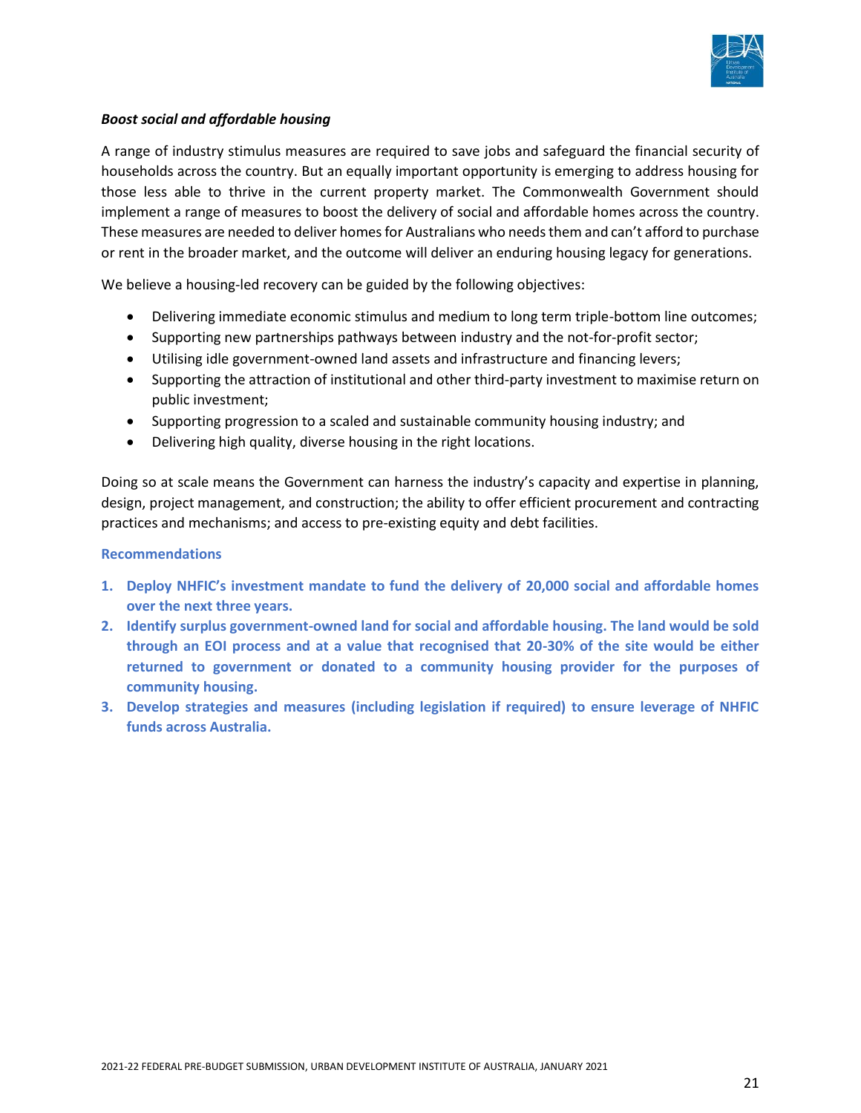

# *Boost social and affordable housing*

A range of industry stimulus measures are required to save jobs and safeguard the financial security of households across the country. But an equally important opportunity is emerging to address housing for those less able to thrive in the current property market. The Commonwealth Government should implement a range of measures to boost the delivery of social and affordable homes across the country. These measures are needed to deliver homes for Australians who needs them and can't afford to purchase or rent in the broader market, and the outcome will deliver an enduring housing legacy for generations.

We believe a housing-led recovery can be guided by the following objectives:

- Delivering immediate economic stimulus and medium to long term triple-bottom line outcomes;
- Supporting new partnerships pathways between industry and the not-for-profit sector;
- Utilising idle government-owned land assets and infrastructure and financing levers;
- Supporting the attraction of institutional and other third-party investment to maximise return on public investment;
- Supporting progression to a scaled and sustainable community housing industry; and
- Delivering high quality, diverse housing in the right locations.

Doing so at scale means the Government can harness the industry's capacity and expertise in planning, design, project management, and construction; the ability to offer efficient procurement and contracting practices and mechanisms; and access to pre-existing equity and debt facilities.

#### **Recommendations**

- **1. Deploy NHFIC's investment mandate to fund the delivery of 20,000 social and affordable homes over the next three years.**
- **2. Identify surplus government-owned land for social and affordable housing. The land would be sold through an EOI process and at a value that recognised that 20-30% of the site would be either returned to government or donated to a community housing provider for the purposes of community housing.**
- **3. Develop strategies and measures (including legislation if required) to ensure leverage of NHFIC funds across Australia.**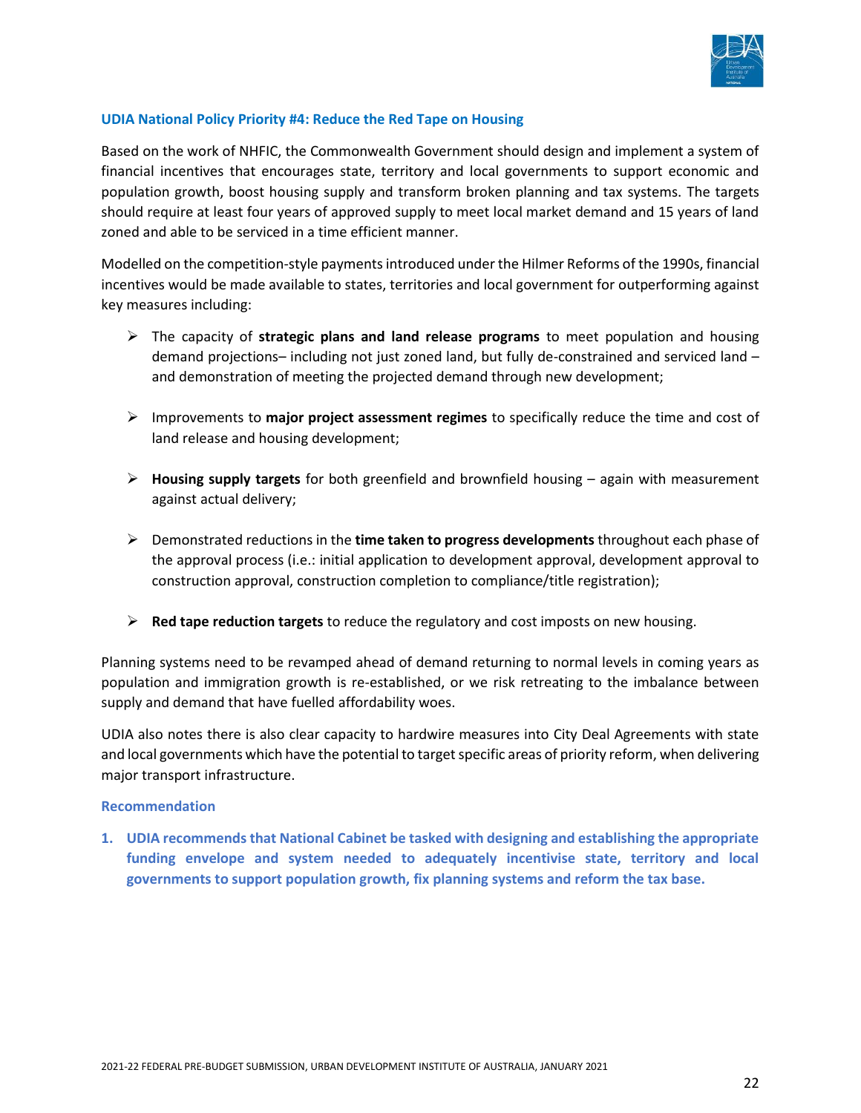

# **UDIA National Policy Priority #4: Reduce the Red Tape on Housing**

Based on the work of NHFIC, the Commonwealth Government should design and implement a system of financial incentives that encourages state, territory and local governments to support economic and population growth, boost housing supply and transform broken planning and tax systems. The targets should require at least four years of approved supply to meet local market demand and 15 years of land zoned and able to be serviced in a time efficient manner.

Modelled on the competition-style payments introduced under the Hilmer Reforms of the 1990s, financial incentives would be made available to states, territories and local government for outperforming against key measures including:

- ➢ The capacity of **strategic plans and land release programs** to meet population and housing demand projections– including not just zoned land, but fully de-constrained and serviced land – and demonstration of meeting the projected demand through new development;
- ➢ Improvements to **major project assessment regimes** to specifically reduce the time and cost of land release and housing development;
- ➢ **Housing supply targets** for both greenfield and brownfield housing again with measurement against actual delivery;
- ➢ Demonstrated reductions in the **time taken to progress developments** throughout each phase of the approval process (i.e.: initial application to development approval, development approval to construction approval, construction completion to compliance/title registration);
- ➢ **Red tape reduction targets** to reduce the regulatory and cost imposts on new housing.

Planning systems need to be revamped ahead of demand returning to normal levels in coming years as population and immigration growth is re-established, or we risk retreating to the imbalance between supply and demand that have fuelled affordability woes.

UDIA also notes there is also clear capacity to hardwire measures into City Deal Agreements with state and local governments which have the potential to target specific areas of priority reform, when delivering major transport infrastructure.

#### **Recommendation**

**1. UDIA recommends that National Cabinet be tasked with designing and establishing the appropriate funding envelope and system needed to adequately incentivise state, territory and local governments to support population growth, fix planning systems and reform the tax base.**